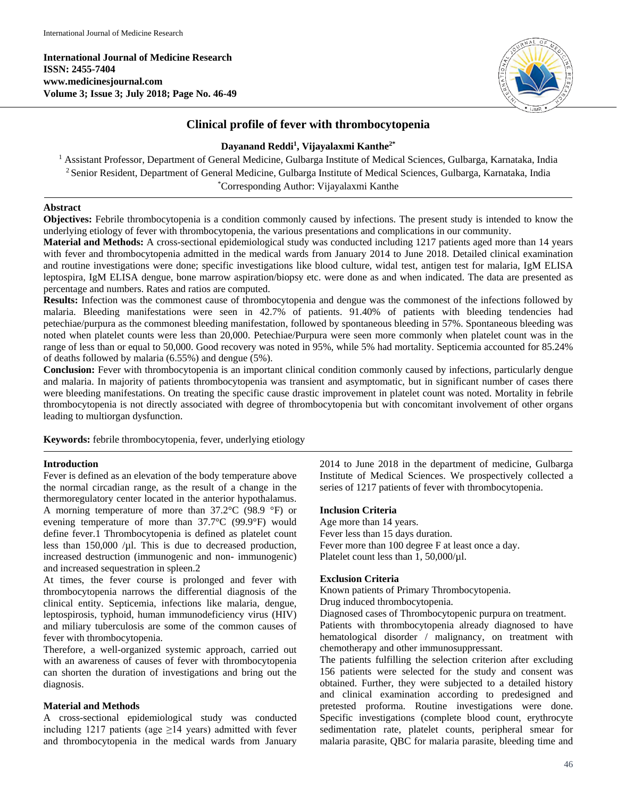**International Journal of Medicine Research ISSN: 2455-7404 www.medicinesjournal.com Volume 3; Issue 3; July 2018; Page No. 46-49**



# **Clinical profile of fever with thrombocytopenia**

### **Dayanand Reddi 1 , Vijayalaxmi Kanthe2\***

<sup>1</sup> Assistant Professor, Department of General Medicine, Gulbarga Institute of Medical Sciences, Gulbarga, Karnataka, India 2 Senior Resident, Department of General Medicine, Gulbarga Institute of Medical Sciences, Gulbarga, Karnataka, India \* Corresponding Author: Vijayalaxmi Kanthe

#### **Abstract**

**Objectives:** Febrile thrombocytopenia is a condition commonly caused by infections. The present study is intended to know the underlying etiology of fever with thrombocytopenia, the various presentations and complications in our community.

**Material and Methods:** A cross-sectional epidemiological study was conducted including 1217 patients aged more than 14 years with fever and thrombocytopenia admitted in the medical wards from January 2014 to June 2018. Detailed clinical examination and routine investigations were done; specific investigations like blood culture, widal test, antigen test for malaria, IgM ELISA leptospira, IgM ELISA dengue, bone marrow aspiration/biopsy etc. were done as and when indicated. The data are presented as percentage and numbers. Rates and ratios are computed.

**Results:** Infection was the commonest cause of thrombocytopenia and dengue was the commonest of the infections followed by malaria. Bleeding manifestations were seen in 42.7% of patients. 91.40% of patients with bleeding tendencies had petechiae/purpura as the commonest bleeding manifestation, followed by spontaneous bleeding in 57%. Spontaneous bleeding was noted when platelet counts were less than 20,000. Petechiae/Purpura were seen more commonly when platelet count was in the range of less than or equal to 50,000. Good recovery was noted in 95%, while 5% had mortality. Septicemia accounted for 85.24% of deaths followed by malaria (6.55%) and dengue (5%).

**Conclusion:** Fever with thrombocytopenia is an important clinical condition commonly caused by infections, particularly dengue and malaria. In majority of patients thrombocytopenia was transient and asymptomatic, but in significant number of cases there were bleeding manifestations. On treating the specific cause drastic improvement in platelet count was noted. Mortality in febrile thrombocytopenia is not directly associated with degree of thrombocytopenia but with concomitant involvement of other organs leading to multiorgan dysfunction.

**Keywords:** febrile thrombocytopenia, fever, underlying etiology

#### **Introduction**

Fever is defined as an elevation of the body temperature above the normal circadian range, as the result of a change in the thermoregulatory center located in the anterior hypothalamus. A morning temperature of more than 37.2°C (98.9 °F) or evening temperature of more than 37.7°C (99.9°F) would define fever.1 Thrombocytopenia is defined as platelet count less than  $150,000$  /µl. This is due to decreased production, increased destruction (immunogenic and non- immunogenic) and increased sequestration in spleen.2

At times, the fever course is prolonged and fever with thrombocytopenia narrows the differential diagnosis of the clinical entity. Septicemia, infections like malaria, dengue, leptospirosis, typhoid, human immunodeficiency virus (HIV) and miliary tuberculosis are some of the common causes of fever with thrombocytopenia.

Therefore, a well-organized systemic approach, carried out with an awareness of causes of fever with thrombocytopenia can shorten the duration of investigations and bring out the diagnosis.

#### **Material and Methods**

A cross-sectional epidemiological study was conducted including 1217 patients (age  $\geq$ 14 years) admitted with fever and thrombocytopenia in the medical wards from January 2014 to June 2018 in the department of medicine, Gulbarga Institute of Medical Sciences. We prospectively collected a series of 1217 patients of fever with thrombocytopenia.

#### **Inclusion Criteria**

Age more than 14 years. Fever less than 15 days duration. Fever more than 100 degree F at least once a day. Platelet count less than 1,  $50,000/\mu$ l.

#### **Exclusion Criteria**

Known patients of Primary Thrombocytopenia.

Drug induced thrombocytopenia.

Diagnosed cases of Thrombocytopenic purpura on treatment.

Patients with thrombocytopenia already diagnosed to have hematological disorder / malignancy, on treatment with chemotherapy and other immunosuppressant.

The patients fulfilling the selection criterion after excluding 156 patients were selected for the study and consent was obtained. Further, they were subjected to a detailed history and clinical examination according to predesigned and pretested proforma. Routine investigations were done. Specific investigations (complete blood count, erythrocyte sedimentation rate, platelet counts, peripheral smear for malaria parasite, QBC for malaria parasite, bleeding time and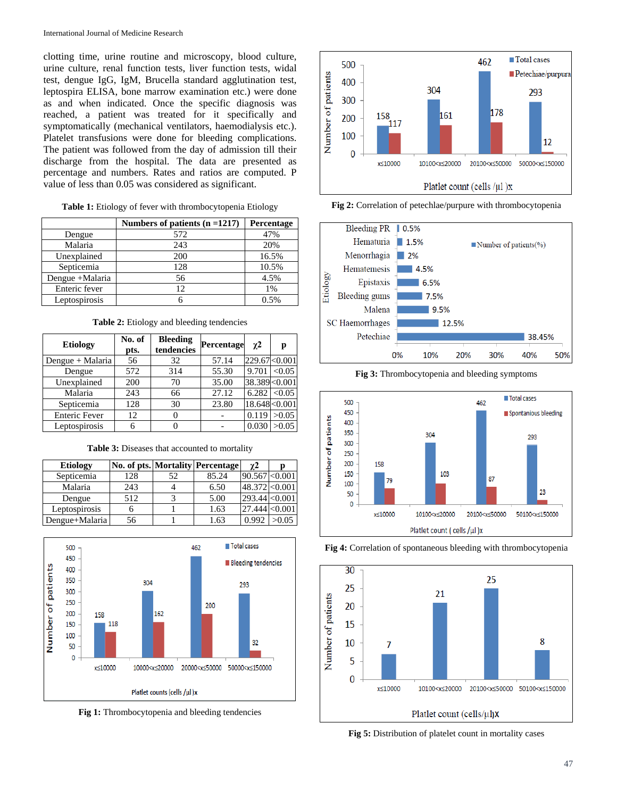clotting time, urine routine and microscopy, blood culture, urine culture, renal function tests, liver function tests, widal test, dengue IgG, IgM, Brucella standard agglutination test, leptospira ELISA, bone marrow examination etc.) were done as and when indicated. Once the specific diagnosis was reached, a patient was treated for it specifically and symptomatically (mechanical ventilators, haemodialysis etc.). Platelet transfusions were done for bleeding complications. The patient was followed from the day of admission till their discharge from the hospital. The data are presented as percentage and numbers. Rates and ratios are computed. P value of less than 0.05 was considered as significant.

| Table 1: Etiology of fever with thrombocytopenia Etiology |  |  |  |
|-----------------------------------------------------------|--|--|--|
|                                                           |  |  |  |

|                 | Numbers of patients $(n = 1217)$ | Percentage |  |
|-----------------|----------------------------------|------------|--|
| Dengue          | 572                              | 47%        |  |
| Malaria         | 243                              | 20%        |  |
| Unexplained     | 200                              | 16.5%      |  |
| Septicemia      | 128                              | 10.5%      |  |
| Dengue +Malaria | 56                               | 4.5%       |  |
| Enteric fever   | 12 <sup>2</sup>                  | 1%         |  |
| Leptospirosis   |                                  | 0.5%       |  |

**Table 2:** Etiology and bleeding tendencies

| <b>Etiology</b>      | No. of<br>pts. | <b>Bleeding</b><br>tendencies | Percentage | $\gamma$ 2 | р              |
|----------------------|----------------|-------------------------------|------------|------------|----------------|
| Dengue + Malaria     | 56             | 32                            | 57.14      |            | 229.67 < 0.001 |
| Dengue               | 572            | 314                           | 55.30      | 9.701      | < 0.05         |
| Unexplained          | 200            | 70                            | 35.00      |            | 38.389<0.001   |
| Malaria              | 243            | 66                            | 27.12      | 6.282      | < 0.05         |
| Septicemia           | 128            | 30                            | 23.80      |            | 18.648 < 0.001 |
| <b>Enteric Fever</b> | 12             |                               |            | 0.119      | >0.05          |
| Leptospirosis        | 6              |                               |            | 0.030      | >0.05          |

**Table 3:** Diseases that accounted to mortality

| <b>Etiology</b> |     |    | No. of pts. Mortality Percentage | γ2                    |         |
|-----------------|-----|----|----------------------------------|-----------------------|---------|
| Septicemia      | 128 | 52 | 85.24                            | $90.567$ < 0.001      |         |
| Malaria         | 243 |    | 6.50                             | 48.372 < 0.001        |         |
| Dengue          | 512 |    | 5.00                             | $293.44 \times 0.001$ |         |
| Leptospirosis   |     |    | 1.63                             | 27.444                | < 0.001 |
| Dengue+Malaria  | 56  |    | 1.63                             | 0.992                 | >0.05   |



Fig 1: Thrombocytopenia and bleeding tendencies



**Fig 2:** Correlation of petechlae/purpure with thrombocytopenia



**Fig 3:** Thrombocytopenia and bleeding symptoms







**Fig 5:** Distribution of platelet count in mortality cases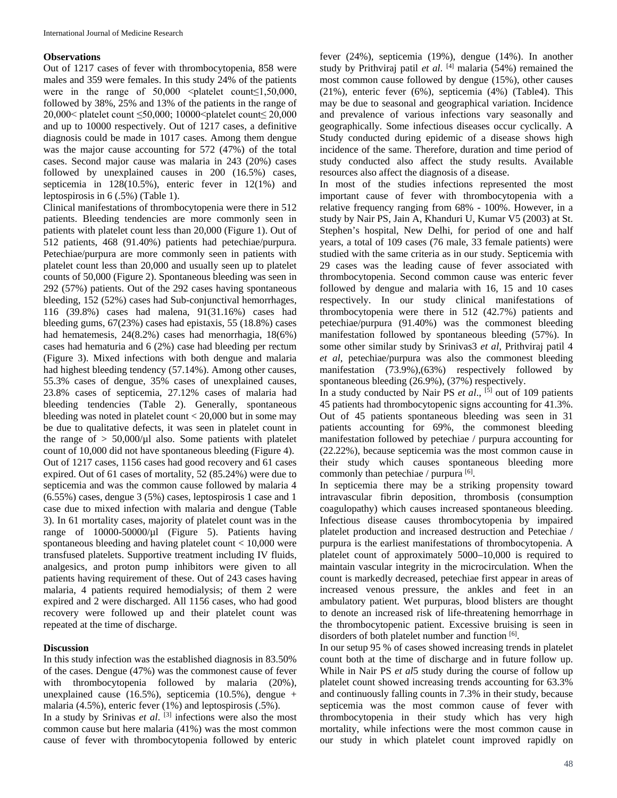### **Observations**

Out of 1217 cases of fever with thrombocytopenia, 858 were males and 359 were females. In this study 24% of the patients were in the range of  $50,000$  <platelet count≤1,50,000, followed by 38%, 25% and 13% of the patients in the range of 20,000< platelet count ≤50,000; 10000<platelet count≤ 20,000 and up to 10000 respectively. Out of 1217 cases, a definitive diagnosis could be made in 1017 cases. Among them dengue was the major cause accounting for 572 (47%) of the total cases. Second major cause was malaria in 243 (20%) cases followed by unexplained causes in 200 (16.5%) cases, septicemia in 128(10.5%), enteric fever in 12(1%) and leptospirosis in 6 (.5%) (Table 1).

Clinical manifestations of thrombocytopenia were there in 512 patients. Bleeding tendencies are more commonly seen in patients with platelet count less than 20,000 (Figure 1). Out of 512 patients, 468 (91.40%) patients had petechiae/purpura. Petechiae/purpura are more commonly seen in patients with platelet count less than 20,000 and usually seen up to platelet counts of 50,000 (Figure 2). Spontaneous bleeding was seen in 292 (57%) patients. Out of the 292 cases having spontaneous bleeding, 152 (52%) cases had Sub-conjunctival hemorrhages, 116 (39.8%) cases had malena, 91(31.16%) cases had bleeding gums, 67(23%) cases had epistaxis, 55 (18.8%) cases had hematemesis, 24(8.2%) cases had menorrhagia, 18(6%) cases had hematuria and 6 (2%) case had bleeding per rectum (Figure 3). Mixed infections with both dengue and malaria had highest bleeding tendency (57.14%). Among other causes, 55.3% cases of dengue, 35% cases of unexplained causes, 23.8% cases of septicemia, 27.12% cases of malaria had bleeding tendencies (Table 2). Generally, spontaneous bleeding was noted in platelet count < 20,000 but in some may be due to qualitative defects, it was seen in platelet count in the range of  $> 50,000/\mu$ l also. Some patients with platelet count of 10,000 did not have spontaneous bleeding (Figure 4). Out of 1217 cases, 1156 cases had good recovery and 61 cases expired. Out of 61 cases of mortality, 52 (85.24%) were due to septicemia and was the common cause followed by malaria 4 (6.55%) cases, dengue 3 (5%) cases, leptospirosis 1 case and 1 case due to mixed infection with malaria and dengue (Table 3). In 61 mortality cases, majority of platelet count was in the range of 10000-50000/µl (Figure 5). Patients having spontaneous bleeding and having platelet count < 10,000 were transfused platelets. Supportive treatment including IV fluids, analgesics, and proton pump inhibitors were given to all patients having requirement of these. Out of 243 cases having malaria, 4 patients required hemodialysis; of them 2 were expired and 2 were discharged. All 1156 cases, who had good recovery were followed up and their platelet count was repeated at the time of discharge.

## **Discussion**

In this study infection was the established diagnosis in 83.50% of the cases. Dengue (47%) was the commonest cause of fever with thrombocytopenia followed by malaria (20%), unexplained cause (16.5%), septicemia (10.5%), dengue + malaria (4.5%), enteric fever (1%) and leptospirosis (.5%).

In a study by Srinivas *et al*. [3] infections were also the most common cause but here malaria (41%) was the most common cause of fever with thrombocytopenia followed by enteric

fever (24%), septicemia (19%), dengue (14%). In another study by Prithviraj patil *et al.*  $[4]$  malaria (54%) remained the most common cause followed by dengue (15%), other causes (21%), enteric fever (6%), septicemia (4%) (Table4). This may be due to seasonal and geographical variation. Incidence and prevalence of various infections vary seasonally and geographically. Some infectious diseases occur cyclically. A Study conducted during epidemic of a disease shows high incidence of the same. Therefore, duration and time period of study conducted also affect the study results. Available resources also affect the diagnosis of a disease.

In most of the studies infections represented the most important cause of fever with thrombocytopenia with a relative frequency ranging from 68% - 100%. However, in a study by Nair PS, Jain A, Khanduri U, Kumar V5 (2003) at St. Stephen's hospital, New Delhi, for period of one and half years, a total of 109 cases (76 male, 33 female patients) were studied with the same criteria as in our study. Septicemia with 29 cases was the leading cause of fever associated with thrombocytopenia. Second common cause was enteric fever followed by dengue and malaria with 16, 15 and 10 cases respectively. In our study clinical manifestations of thrombocytopenia were there in 512 (42.7%) patients and petechiae/purpura (91.40%) was the commonest bleeding manifestation followed by spontaneous bleeding (57%). In some other similar study by Srinivas3 *et al*, Prithviraj patil 4 *et al*, petechiae/purpura was also the commonest bleeding manifestation (73.9%),(63%) respectively followed by spontaneous bleeding (26.9%), (37%) respectively.

In a study conducted by Nair PS *et al*., [5] out of 109 patients 45 patients had thrombocytopenic signs accounting for 41.3%. Out of 45 patients spontaneous bleeding was seen in 31 patients accounting for 69%, the commonest bleeding manifestation followed by petechiae / purpura accounting for (22.22%), because septicemia was the most common cause in their study which causes spontaneous bleeding more commonly than petechiae / purpura [6].

In septicemia there may be a striking propensity toward intravascular fibrin deposition, thrombosis (consumption coagulopathy) which causes increased spontaneous bleeding. Infectious disease causes thrombocytopenia by impaired platelet production and increased destruction and Petechiae / purpura is the earliest manifestations of thrombocytopenia. A platelet count of approximately 5000–10,000 is required to maintain vascular integrity in the microcirculation. When the count is markedly decreased, petechiae first appear in areas of increased venous pressure, the ankles and feet in an ambulatory patient. Wet purpuras, blood blisters are thought to denote an increased risk of life-threatening hemorrhage in the thrombocytopenic patient. Excessive bruising is seen in disorders of both platelet number and function [6].

In our setup 95 % of cases showed increasing trends in platelet count both at the time of discharge and in future follow up. While in Nair PS *et al*5 study during the course of follow up platelet count showed increasing trends accounting for 63.3% and continuously falling counts in 7.3% in their study, because septicemia was the most common cause of fever with thrombocytopenia in their study which has very high mortality, while infections were the most common cause in our study in which platelet count improved rapidly on